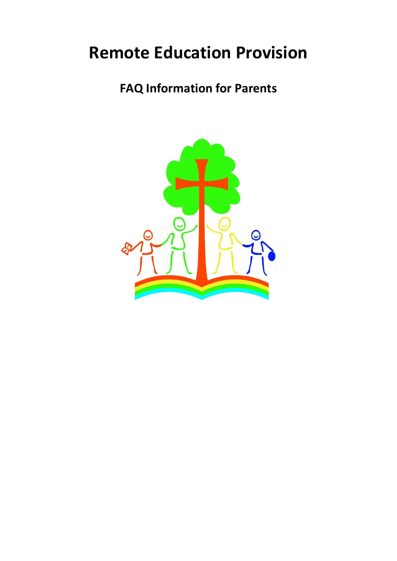# **Remote Education Provision**

# **FAQ Information for Parents**

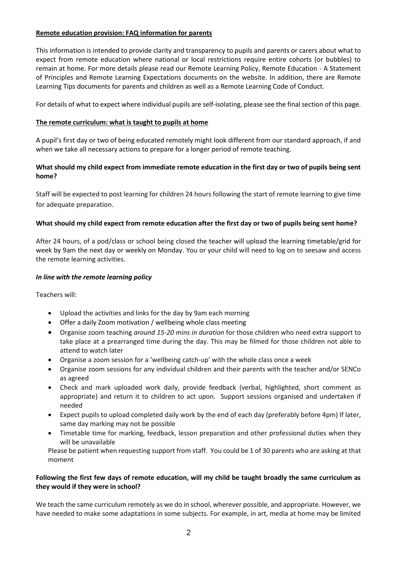# **Remote education provision: FAQ information for parents**

This information is intended to provide clarity and transparency to pupils and parents or carers about what to expect from remote education where national or local restrictions require entire cohorts (or bubbles) to remain at home. For more details please read our Remote Learning Policy, Remote Education - A Statement of Principles and Remote Learning Expectations documents on the website. In addition, there are Remote Learning Tips documents for parents and children as well as a Remote Learning Code of Conduct.

For details of what to expect where individual pupils are self-isolating, please see the final section of this page.

# **The remote curriculum: what is taught to pupils at home**

A pupil's first day or two of being educated remotely might look different from our standard approach, if and when we take all necessary actions to prepare for a longer period of remote teaching.

# **What should my child expect from immediate remote education in the first day or two of pupils being sent home?**

Staff will be expected to post learning for children 24 hours following the start of remote learning to give time for adequate preparation.

# **What should my child expect from remote education after the first day or two of pupils being sent home?**

After 24 hours, of a pod/class or school being closed the teacher will upload the learning timetable/grid for week by 9am the next day or weekly on Monday. You or your child will need to log on to seesaw and access the remote learning activities.

# *In line with the remote learning policy*

Teachers will:

- Upload the activities and links for the day by 9am each morning
- Offer a daily Zoom motivation / wellbeing whole class meeting
- Organise zoom teaching *around 15-20 mins in duration* for those children who need extra support to take place at a prearranged time during the day. This may be filmed for those children not able to attend to watch later
- Organise a zoom session for a 'wellbeing catch-up' with the whole class once a week
- Organise zoom sessions for any individual children and their parents with the teacher and/or SENCo as agreed
- Check and mark uploaded work daily, provide feedback (verbal, highlighted, short comment as appropriate) and return it to children to act upon. Support sessions organised and undertaken if needed
- Expect pupils to upload completed daily work by the end of each day (preferably before 4pm) If later, same day marking may not be possible
- Timetable time for marking, feedback, lesson preparation and other professional duties when they will be unavailable

Please be patient when requesting support from staff. You could be 1 of 30 parents who are asking at that moment

# **Following the first few days of remote education, will my child be taught broadly the same curriculum as they would if they were in school?**

We teach the same curriculum remotely as we do in school, wherever possible, and appropriate. However, we have needed to make some adaptations in some subjects. For example, in art, media at home may be limited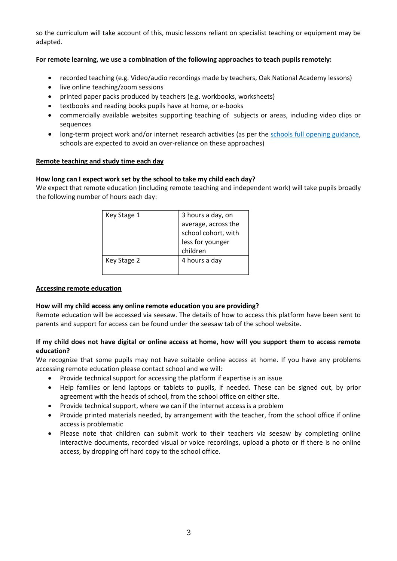so the curriculum will take account of this, music lessons reliant on specialist teaching or equipment may be adapted.

# **For remote learning, we use a combination of the following approaches to teach pupils remotely:**

- recorded teaching (e.g. Video/audio recordings made by teachers, Oak National Academy lessons)
- live online teaching/zoom sessions
- printed paper packs produced by teachers (e.g. workbooks, worksheets)
- textbooks and reading books pupils have at home, or e-books
- commercially available websites supporting teaching of subjects or areas, including video clips or sequences
- long-term project work and/or internet research activities (as per the schools full opening guidance, schools are expected to avoid an over-reliance on these approaches)

#### **Remote teaching and study time each day**

#### **How long can I expect work set by the school to take my child each day?**

We expect that remote education (including remote teaching and independent work) will take pupils broadly the following number of hours each day:

| Key Stage 1 | 3 hours a day, on   |
|-------------|---------------------|
|             | average, across the |
|             | school cohort, with |
|             | less for younger    |
|             | children            |
| Key Stage 2 | 4 hours a day       |
|             |                     |

#### **Accessing remote education**

#### **How will my child access any online remote education you are providing?**

Remote education will be accessed via seesaw. The details of how to access this platform have been sent to parents and support for access can be found under the seesaw tab of the school website.

### **If my child does not have digital or online access at home, how will you support them to access remote education?**

We recognize that some pupils may not have suitable online access at home. If you have any problems accessing remote education please contact school and we will:

- Provide technical support for accessing the platform if expertise is an issue
- Help families or lend laptops or tablets to pupils, if needed. These can be signed out, by prior agreement with the heads of school, from the school office on either site.
- Provide technical support, where we can if the internet access is a problem
- Provide printed materials needed, by arrangement with the teacher, from the school office if online access is problematic
- Please note that children can submit work to their teachers via seesaw by completing online interactive documents, recorded visual or voice recordings, upload a photo or if there is no online access, by dropping off hard copy to the school office.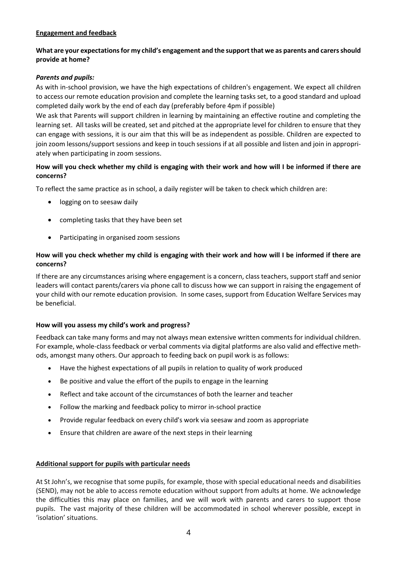# **Engagement and feedback**

# **What are your expectations for my child's engagement and the support that we as parents and carers should provide at home?**

# *Parents and pupils:*

As with in-school provision, we have the high expectations of children's engagement. We expect all children to access our remote education provision and complete the learning tasks set, to a good standard and upload completed daily work by the end of each day (preferably before 4pm if possible)

We ask that Parents will support children in learning by maintaining an effective routine and completing the learning set. All tasks will be created, set and pitched at the appropriate level for children to ensure that they can engage with sessions, it is our aim that this will be as independent as possible. Children are expected to join zoom lessons/support sessions and keep in touch sessions if at all possible and listen and join in appropriately when participating in zoom sessions.

# **How will you check whether my child is engaging with their work and how will I be informed if there are concerns?**

To reflect the same practice as in school, a daily register will be taken to check which children are:

- **.** logging on to seesaw daily
- completing tasks that they have been set
- Participating in organised zoom sessions

# **How will you check whether my child is engaging with their work and how will I be informed if there are concerns?**

If there are any circumstances arising where engagement is a concern, class teachers, support staff and senior leaders will contact parents/carers via phone call to discuss how we can support in raising the engagement of your child with our remote education provision. In some cases, support from Education Welfare Services may be beneficial.

# **How will you assess my child's work and progress?**

Feedback can take many forms and may not always mean extensive written comments for individual children. For example, whole-class feedback or verbal comments via digital platforms are also valid and effective methods, amongst many others. Our approach to feeding back on pupil work is as follows:

- Have the highest expectations of all pupils in relation to quality of work produced
- Be positive and value the effort of the pupils to engage in the learning
- Reflect and take account of the circumstances of both the learner and teacher
- Follow the marking and feedback policy to mirror in-school practice
- Provide regular feedback on every child's work via seesaw and zoom as appropriate
- Ensure that children are aware of the next steps in their learning

#### **Additional support for pupils with particular needs**

At St John's, we recognise that some pupils, for example, those with special educational needs and disabilities (SEND), may not be able to access remote education without support from adults at home. We acknowledge the difficulties this may place on families, and we will work with parents and carers to support those pupils. The vast majority of these children will be accommodated in school wherever possible, except in 'isolation' situations.